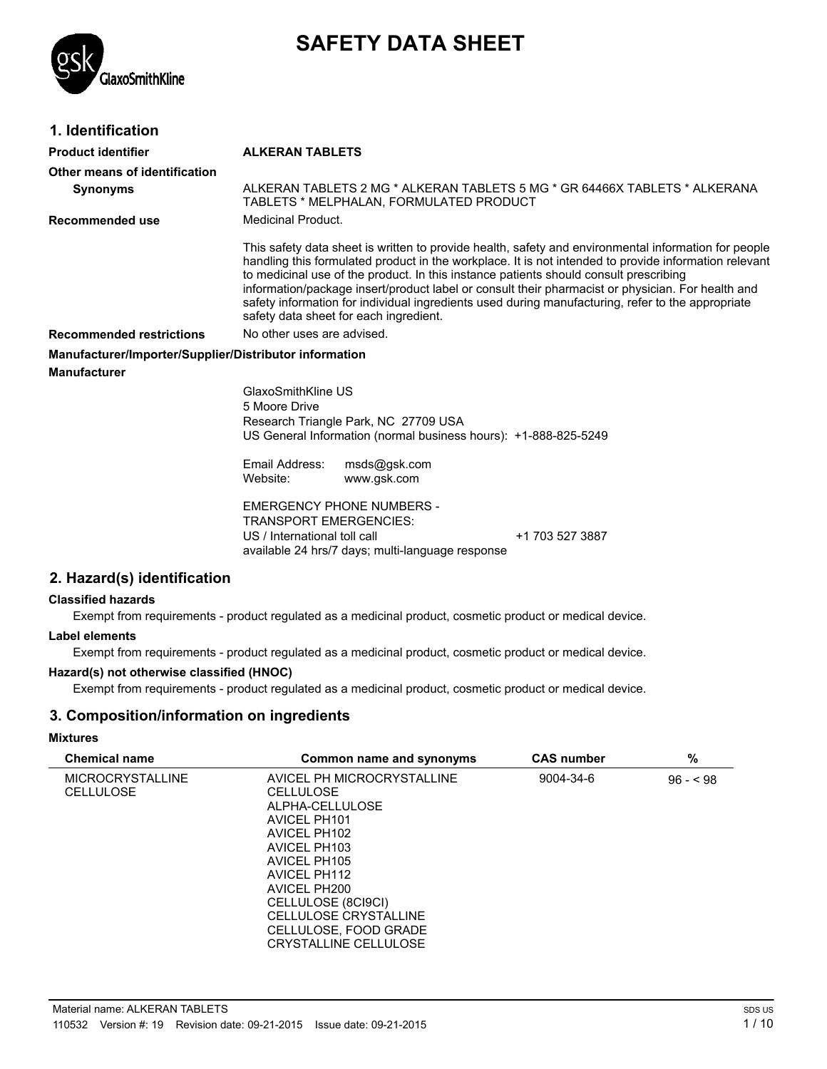# **SAFETY DATA SHEET**



# **1. Identification**

#### **Product identifier ALKERAN TABLETS**

| Other means of identification                          |                                                                                                                                                                                                                                                                                                                                                                                                                                                                                                                                                            |  |  |
|--------------------------------------------------------|------------------------------------------------------------------------------------------------------------------------------------------------------------------------------------------------------------------------------------------------------------------------------------------------------------------------------------------------------------------------------------------------------------------------------------------------------------------------------------------------------------------------------------------------------------|--|--|
| <b>Synonyms</b>                                        | ALKERAN TABLETS 2 MG * ALKERAN TABLETS 5 MG * GR 64466X TABLETS * ALKERANA<br>TABLETS * MELPHALAN, FORMULATED PRODUCT                                                                                                                                                                                                                                                                                                                                                                                                                                      |  |  |
| Recommended use                                        | Medicinal Product.                                                                                                                                                                                                                                                                                                                                                                                                                                                                                                                                         |  |  |
|                                                        | This safety data sheet is written to provide health, safety and environmental information for people<br>handling this formulated product in the workplace. It is not intended to provide information relevant<br>to medicinal use of the product. In this instance patients should consult prescribing<br>information/package insert/product label or consult their pharmacist or physician. For health and<br>safety information for individual ingredients used during manufacturing, refer to the appropriate<br>safety data sheet for each ingredient. |  |  |
| <b>Recommended restrictions</b>                        | No other uses are advised.                                                                                                                                                                                                                                                                                                                                                                                                                                                                                                                                 |  |  |
| Manufacturer/Importer/Supplier/Distributor information |                                                                                                                                                                                                                                                                                                                                                                                                                                                                                                                                                            |  |  |
| <b>Manufacturer</b>                                    |                                                                                                                                                                                                                                                                                                                                                                                                                                                                                                                                                            |  |  |
|                                                        | GlaxoSmithKline US<br>5 Moore Drive<br>Research Triangle Park, NC 27709 USA<br>US General Information (normal business hours): +1-888-825-5249                                                                                                                                                                                                                                                                                                                                                                                                             |  |  |
|                                                        | Email Address:<br>msds@gsk.com<br>Website:<br>www.gsk.com                                                                                                                                                                                                                                                                                                                                                                                                                                                                                                  |  |  |
|                                                        | <b>EMERGENCY PHONE NUMBERS -</b><br><b>TRANSPORT EMERGENCIES:</b><br>US / International toll call<br>+1 703 527 3887<br>available 24 hrs/7 days; multi-language response                                                                                                                                                                                                                                                                                                                                                                                   |  |  |

#### **2. Hazard(s) identification**

#### **Classified hazards**

Exempt from requirements - product regulated as a medicinal product, cosmetic product or medical device.

#### **Label elements**

Exempt from requirements - product regulated as a medicinal product, cosmetic product or medical device.

#### **Hazard(s) not otherwise classified (HNOC)**

Exempt from requirements - product regulated as a medicinal product, cosmetic product or medical device.

#### **3. Composition/information on ingredients**

#### **Mixtures**

| <b>Chemical name</b>    | Common name and synonyms   | <b>CAS number</b> | %         |
|-------------------------|----------------------------|-------------------|-----------|
| <b>MICROCRYSTALLINE</b> | AVICEL PH MICROCRYSTALLINE | 9004-34-6         | $96 - 98$ |
| <b>CELLULOSE</b>        | <b>CELLULOSE</b>           |                   |           |
|                         | ALPHA-CELLULOSE            |                   |           |
|                         | AVICEL PH101               |                   |           |
|                         | AVICEL PH102               |                   |           |
|                         | AVICEL PH103               |                   |           |
|                         | AVICEL PH105               |                   |           |
|                         | AVICEL PH112               |                   |           |
|                         | AVICEL PH200               |                   |           |
|                         | CELLULOSE (8CI9CI)         |                   |           |
|                         | CELLULOSE CRYSTALLINE      |                   |           |
|                         | CELLULOSE, FOOD GRADE      |                   |           |
|                         | CRYSTALLINE CELLULOSE      |                   |           |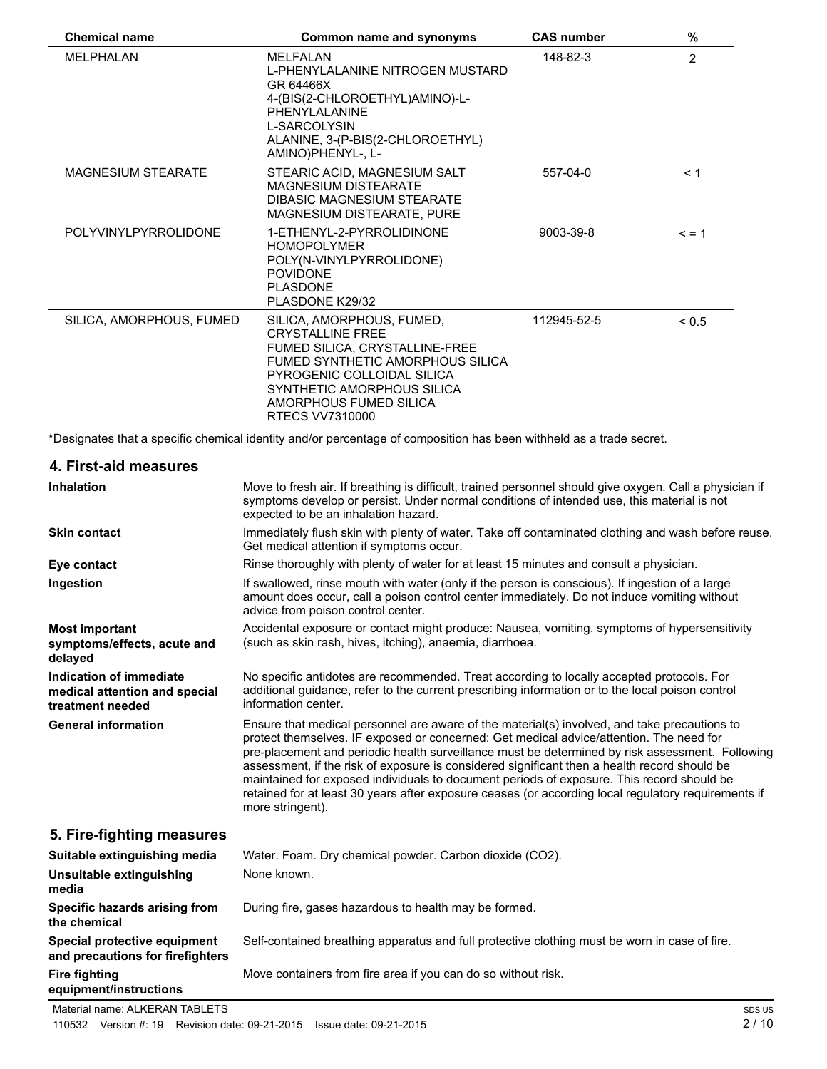| <b>Chemical name</b>                                                         | <b>Common name and synonyms</b>                                                                                                                                                                                                                                                                                                                                                                                                                                                                                                                                                                                    | <b>CAS number</b> | $\%$           |
|------------------------------------------------------------------------------|--------------------------------------------------------------------------------------------------------------------------------------------------------------------------------------------------------------------------------------------------------------------------------------------------------------------------------------------------------------------------------------------------------------------------------------------------------------------------------------------------------------------------------------------------------------------------------------------------------------------|-------------------|----------------|
| MELPHALAN                                                                    | <b>MELFALAN</b><br>L-PHENYLALANINE NITROGEN MUSTARD<br>GR 64466X<br>4-(BIS(2-CHLOROETHYL)AMINO)-L-<br>PHENYLALANINE<br>L-SARCOLYSIN<br>ALANINE, 3-(P-BIS(2-CHLOROETHYL)<br>AMINO)PHENYL-, L-                                                                                                                                                                                                                                                                                                                                                                                                                       | 148-82-3          | $\overline{2}$ |
| MAGNESIUM STEARATE                                                           | STEARIC ACID, MAGNESIUM SALT<br><b>MAGNESIUM DISTEARATE</b><br>DIBASIC MAGNESIUM STEARATE<br>MAGNESIUM DISTEARATE, PURE                                                                                                                                                                                                                                                                                                                                                                                                                                                                                            | 557-04-0          | < 1            |
| POLYVINYLPYRROLIDONE                                                         | 1-ETHENYL-2-PYRROLIDINONE<br><b>HOMOPOLYMER</b><br>POLY(N-VINYLPYRROLIDONE)<br><b>POVIDONE</b><br><b>PLASDONE</b><br>PLASDONE K29/32                                                                                                                                                                                                                                                                                                                                                                                                                                                                               | 9003-39-8         | $\leq$ = 1     |
| SILICA, AMORPHOUS, FUMED                                                     | SILICA, AMORPHOUS, FUMED,<br><b>CRYSTALLINE FREE</b><br>FUMED SILICA, CRYSTALLINE-FREE<br>FUMED SYNTHETIC AMORPHOUS SILICA<br>PYROGENIC COLLOIDAL SILICA<br>SYNTHETIC AMORPHOUS SILICA<br>AMORPHOUS FUMED SILICA<br><b>RTECS VV7310000</b>                                                                                                                                                                                                                                                                                                                                                                         | 112945-52-5       | ${}_{0.5}$     |
|                                                                              | *Designates that a specific chemical identity and/or percentage of composition has been withheld as a trade secret.                                                                                                                                                                                                                                                                                                                                                                                                                                                                                                |                   |                |
| 4. First-aid measures                                                        |                                                                                                                                                                                                                                                                                                                                                                                                                                                                                                                                                                                                                    |                   |                |
| <b>Inhalation</b>                                                            | Move to fresh air. If breathing is difficult, trained personnel should give oxygen. Call a physician if<br>symptoms develop or persist. Under normal conditions of intended use, this material is not<br>expected to be an inhalation hazard.                                                                                                                                                                                                                                                                                                                                                                      |                   |                |
| <b>Skin contact</b>                                                          | Immediately flush skin with plenty of water. Take off contaminated clothing and wash before reuse.<br>Get medical attention if symptoms occur.                                                                                                                                                                                                                                                                                                                                                                                                                                                                     |                   |                |
| Eye contact                                                                  | Rinse thoroughly with plenty of water for at least 15 minutes and consult a physician.                                                                                                                                                                                                                                                                                                                                                                                                                                                                                                                             |                   |                |
| Ingestion                                                                    | If swallowed, rinse mouth with water (only if the person is conscious). If ingestion of a large<br>amount does occur, call a poison control center immediately. Do not induce vomiting without<br>advice from poison control center.                                                                                                                                                                                                                                                                                                                                                                               |                   |                |
| <b>Most important</b><br>symptoms/effects, acute and<br>delayed              | Accidental exposure or contact might produce: Nausea, vomiting. symptoms of hypersensitivity<br>(such as skin rash, hives, itching), anaemia, diarrhoea.                                                                                                                                                                                                                                                                                                                                                                                                                                                           |                   |                |
| Indication of immediate<br>medical attention and special<br>treatment needed | No specific antidotes are recommended. Treat according to locally accepted protocols. For<br>additional guidance, refer to the current prescribing information or to the local poison control<br>information center.                                                                                                                                                                                                                                                                                                                                                                                               |                   |                |
| <b>General information</b>                                                   | Ensure that medical personnel are aware of the material(s) involved, and take precautions to<br>protect themselves. IF exposed or concerned: Get medical advice/attention. The need for<br>pre-placement and periodic health surveillance must be determined by risk assessment. Following<br>assessment, if the risk of exposure is considered significant then a health record should be<br>maintained for exposed individuals to document periods of exposure. This record should be<br>retained for at least 30 years after exposure ceases (or according local regulatory requirements if<br>more stringent). |                   |                |
| 5. Fire-fighting measures                                                    |                                                                                                                                                                                                                                                                                                                                                                                                                                                                                                                                                                                                                    |                   |                |
| Suitable extinguishing media                                                 | Water. Foam. Dry chemical powder. Carbon dioxide (CO2).                                                                                                                                                                                                                                                                                                                                                                                                                                                                                                                                                            |                   |                |
| Unsuitable extinguishing<br>media                                            | None known.                                                                                                                                                                                                                                                                                                                                                                                                                                                                                                                                                                                                        |                   |                |
| Specific hazards arising from<br>the chemical                                | During fire, gases hazardous to health may be formed.                                                                                                                                                                                                                                                                                                                                                                                                                                                                                                                                                              |                   |                |
| Special protective equipment<br>and precautions for firefighters             | Self-contained breathing apparatus and full protective clothing must be worn in case of fire.                                                                                                                                                                                                                                                                                                                                                                                                                                                                                                                      |                   |                |
| <b>Fire fighting</b><br>equipment/instructions                               | Move containers from fire area if you can do so without risk.                                                                                                                                                                                                                                                                                                                                                                                                                                                                                                                                                      |                   |                |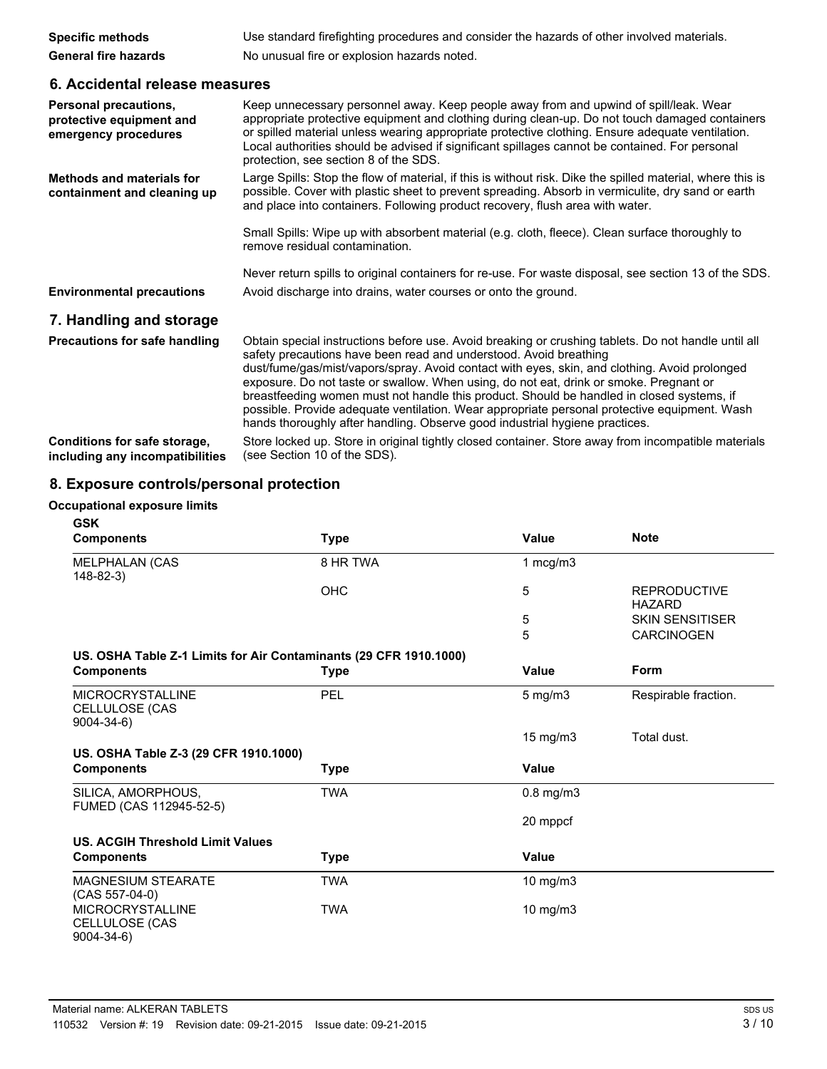| <b>Specific methods</b>     | Use standard firefighting procedures and consider the hazards of other involved materials. |
|-----------------------------|--------------------------------------------------------------------------------------------|
| <b>General fire hazards</b> | No unusual fire or explosion hazards noted.                                                |

# **6. Accidental release measures**

| Personal precautions,<br>protective equipment and<br>emergency procedures | Keep unnecessary personnel away. Keep people away from and upwind of spill/leak. Wear<br>appropriate protective equipment and clothing during clean-up. Do not touch damaged containers<br>or spilled material unless wearing appropriate protective clothing. Ensure adequate ventilation.<br>Local authorities should be advised if significant spillages cannot be contained. For personal<br>protection, see section 8 of the SDS.                                                                                                                                                                                                          |
|---------------------------------------------------------------------------|-------------------------------------------------------------------------------------------------------------------------------------------------------------------------------------------------------------------------------------------------------------------------------------------------------------------------------------------------------------------------------------------------------------------------------------------------------------------------------------------------------------------------------------------------------------------------------------------------------------------------------------------------|
| <b>Methods and materials for</b><br>containment and cleaning up           | Large Spills: Stop the flow of material, if this is without risk. Dike the spilled material, where this is<br>possible. Cover with plastic sheet to prevent spreading. Absorb in vermiculite, dry sand or earth<br>and place into containers. Following product recovery, flush area with water.                                                                                                                                                                                                                                                                                                                                                |
|                                                                           | Small Spills: Wipe up with absorbent material (e.g. cloth, fleece). Clean surface thoroughly to<br>remove residual contamination.                                                                                                                                                                                                                                                                                                                                                                                                                                                                                                               |
|                                                                           | Never return spills to original containers for re-use. For waste disposal, see section 13 of the SDS.                                                                                                                                                                                                                                                                                                                                                                                                                                                                                                                                           |
| <b>Environmental precautions</b>                                          | Avoid discharge into drains, water courses or onto the ground.                                                                                                                                                                                                                                                                                                                                                                                                                                                                                                                                                                                  |
| 7. Handling and storage                                                   |                                                                                                                                                                                                                                                                                                                                                                                                                                                                                                                                                                                                                                                 |
| Precautions for safe handling                                             | Obtain special instructions before use. Avoid breaking or crushing tablets. Do not handle until all<br>safety precautions have been read and understood. Avoid breathing<br>dust/fume/gas/mist/vapors/spray. Avoid contact with eyes, skin, and clothing. Avoid prolonged<br>exposure. Do not taste or swallow. When using, do not eat, drink or smoke. Pregnant or<br>breastfeeding women must not handle this product. Should be handled in closed systems, if<br>possible. Provide adequate ventilation. Wear appropriate personal protective equipment. Wash<br>hands thoroughly after handling. Observe good industrial hygiene practices. |
| Conditions for safe storage,<br>including any incompatibilities           | Store locked up. Store in original tightly closed container. Store away from incompatible materials<br>(see Section 10 of the SDS).                                                                                                                                                                                                                                                                                                                                                                                                                                                                                                             |

# **8. Exposure controls/personal protection**

### **Occupational exposure limits**

| <b>GSK</b>                                                        |             |                   |                                      |
|-------------------------------------------------------------------|-------------|-------------------|--------------------------------------|
| <b>Components</b>                                                 | <b>Type</b> | <b>Value</b>      | <b>Note</b>                          |
| MELPHALAN (CAS<br>148-82-3)                                       | 8 HR TWA    | 1 $mcg/m3$        |                                      |
|                                                                   | <b>OHC</b>  | 5                 | <b>REPRODUCTIVE</b><br><b>HAZARD</b> |
|                                                                   |             | 5                 | <b>SKIN SENSITISER</b>               |
|                                                                   |             | 5                 | <b>CARCINOGEN</b>                    |
| US. OSHA Table Z-1 Limits for Air Contaminants (29 CFR 1910.1000) |             |                   |                                      |
| <b>Components</b>                                                 | <b>Type</b> | Value             | Form                                 |
| <b>MICROCRYSTALLINE</b><br>CELLULOSE (CAS<br>$9004 - 34 - 6$      | PEL         | $5$ mg/m $3$      | Respirable fraction.                 |
|                                                                   |             | $15 \text{ mg/m}$ | Total dust.                          |
| US. OSHA Table Z-3 (29 CFR 1910.1000)                             |             |                   |                                      |
| <b>Components</b>                                                 | <b>Type</b> | <b>Value</b>      |                                      |
| SILICA, AMORPHOUS,<br>FUMED (CAS 112945-52-5)                     | <b>TWA</b>  | $0.8$ mg/m $3$    |                                      |
|                                                                   |             | 20 mppcf          |                                      |
| <b>US. ACGIH Threshold Limit Values</b>                           |             |                   |                                      |
| <b>Components</b>                                                 | <b>Type</b> | Value             |                                      |
| <b>MAGNESIUM STEARATE</b><br>$(CAS 557-04-0)$                     | <b>TWA</b>  | 10 mg/m3          |                                      |
| <b>MICROCRYSTALLINE</b><br>CELLULOSE (CAS<br>$9004 - 34 - 6$      | <b>TWA</b>  | 10 mg/m3          |                                      |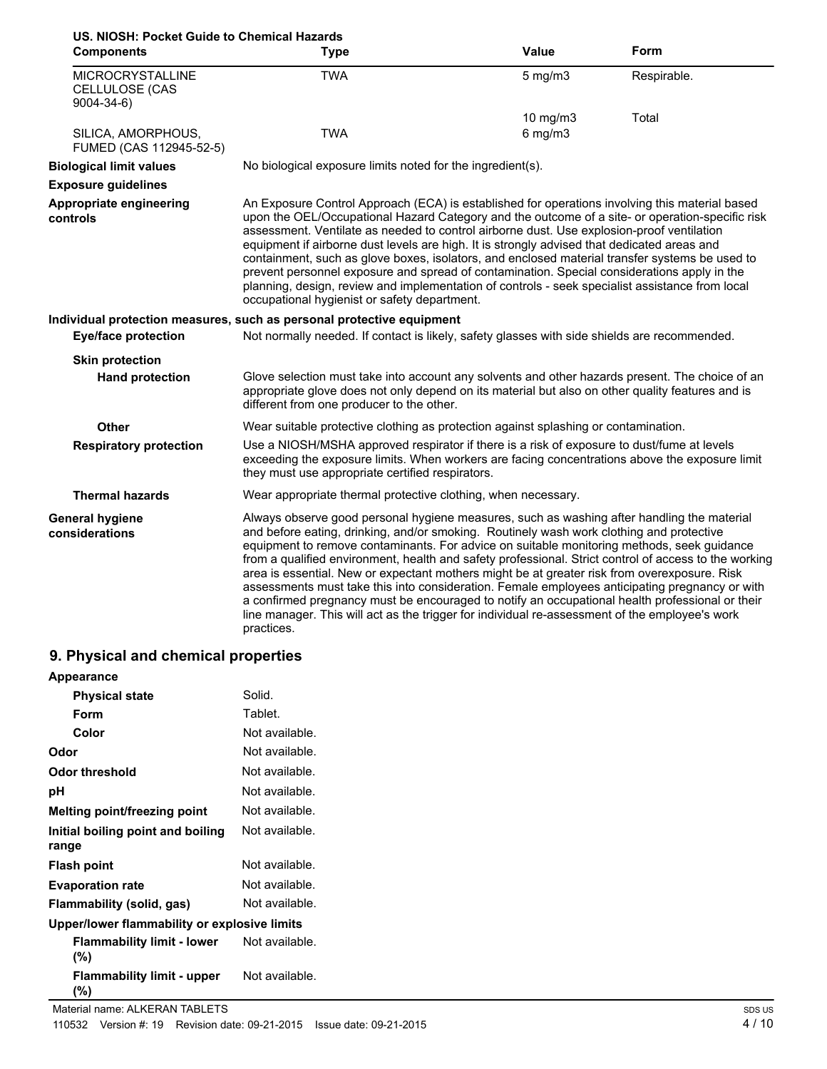| US. NIOSH: Pocket Guide to Chemical Hazards                  |                                                                                                                                                                                                                                                                                                                                                                                                                                                                                                                                                                                                                                                                                                                                                                                                                    |              |             |
|--------------------------------------------------------------|--------------------------------------------------------------------------------------------------------------------------------------------------------------------------------------------------------------------------------------------------------------------------------------------------------------------------------------------------------------------------------------------------------------------------------------------------------------------------------------------------------------------------------------------------------------------------------------------------------------------------------------------------------------------------------------------------------------------------------------------------------------------------------------------------------------------|--------------|-------------|
| <b>Components</b>                                            | <b>Type</b>                                                                                                                                                                                                                                                                                                                                                                                                                                                                                                                                                                                                                                                                                                                                                                                                        | <b>Value</b> | Form        |
| <b>MICROCRYSTALLINE</b><br>CELLULOSE (CAS<br>$9004 - 34 - 6$ | <b>TWA</b>                                                                                                                                                                                                                                                                                                                                                                                                                                                                                                                                                                                                                                                                                                                                                                                                         | $5$ mg/m $3$ | Respirable. |
|                                                              |                                                                                                                                                                                                                                                                                                                                                                                                                                                                                                                                                                                                                                                                                                                                                                                                                    | 10 $mg/m3$   | Total       |
| SILICA, AMORPHOUS,<br>FUMED (CAS 112945-52-5)                | <b>TWA</b>                                                                                                                                                                                                                                                                                                                                                                                                                                                                                                                                                                                                                                                                                                                                                                                                         | $6$ mg/m $3$ |             |
| <b>Biological limit values</b>                               | No biological exposure limits noted for the ingredient(s).                                                                                                                                                                                                                                                                                                                                                                                                                                                                                                                                                                                                                                                                                                                                                         |              |             |
| <b>Exposure guidelines</b>                                   |                                                                                                                                                                                                                                                                                                                                                                                                                                                                                                                                                                                                                                                                                                                                                                                                                    |              |             |
| Appropriate engineering<br>controls                          | An Exposure Control Approach (ECA) is established for operations involving this material based<br>upon the OEL/Occupational Hazard Category and the outcome of a site- or operation-specific risk<br>assessment. Ventilate as needed to control airborne dust. Use explosion-proof ventilation<br>equipment if airborne dust levels are high. It is strongly advised that dedicated areas and<br>containment, such as glove boxes, isolators, and enclosed material transfer systems be used to<br>prevent personnel exposure and spread of contamination. Special considerations apply in the<br>planning, design, review and implementation of controls - seek specialist assistance from local<br>occupational hygienist or safety department.                                                                  |              |             |
|                                                              | Individual protection measures, such as personal protective equipment                                                                                                                                                                                                                                                                                                                                                                                                                                                                                                                                                                                                                                                                                                                                              |              |             |
| <b>Eye/face protection</b>                                   | Not normally needed. If contact is likely, safety glasses with side shields are recommended.                                                                                                                                                                                                                                                                                                                                                                                                                                                                                                                                                                                                                                                                                                                       |              |             |
| <b>Skin protection</b>                                       |                                                                                                                                                                                                                                                                                                                                                                                                                                                                                                                                                                                                                                                                                                                                                                                                                    |              |             |
| <b>Hand protection</b>                                       | Glove selection must take into account any solvents and other hazards present. The choice of an<br>appropriate glove does not only depend on its material but also on other quality features and is<br>different from one producer to the other.                                                                                                                                                                                                                                                                                                                                                                                                                                                                                                                                                                   |              |             |
| Other                                                        | Wear suitable protective clothing as protection against splashing or contamination.                                                                                                                                                                                                                                                                                                                                                                                                                                                                                                                                                                                                                                                                                                                                |              |             |
| <b>Respiratory protection</b>                                | Use a NIOSH/MSHA approved respirator if there is a risk of exposure to dust/fume at levels<br>exceeding the exposure limits. When workers are facing concentrations above the exposure limit<br>they must use appropriate certified respirators.                                                                                                                                                                                                                                                                                                                                                                                                                                                                                                                                                                   |              |             |
| <b>Thermal hazards</b>                                       | Wear appropriate thermal protective clothing, when necessary.                                                                                                                                                                                                                                                                                                                                                                                                                                                                                                                                                                                                                                                                                                                                                      |              |             |
| General hygiene<br>considerations                            | Always observe good personal hygiene measures, such as washing after handling the material<br>and before eating, drinking, and/or smoking. Routinely wash work clothing and protective<br>equipment to remove contaminants. For advice on suitable monitoring methods, seek guidance<br>from a qualified environment, health and safety professional. Strict control of access to the working<br>area is essential. New or expectant mothers might be at greater risk from overexposure. Risk<br>assessments must take this into consideration. Female employees anticipating pregnancy or with<br>a confirmed pregnancy must be encouraged to notify an occupational health professional or their<br>line manager. This will act as the trigger for individual re-assessment of the employee's work<br>practices. |              |             |

# **9. Physical and chemical properties**

| <b>Appearance</b>                            |                |  |
|----------------------------------------------|----------------|--|
| <b>Physical state</b>                        | Solid.         |  |
| Form                                         | Tablet.        |  |
| Color                                        | Not available. |  |
| Odor                                         | Not available. |  |
| Odor threshold                               | Not available. |  |
| рH                                           | Not available. |  |
| Melting point/freezing point                 | Not available. |  |
| Initial boiling point and boiling<br>range   | Not available. |  |
| Flash point                                  | Not available. |  |
| <b>Evaporation rate</b>                      | Not available. |  |
| Flammability (solid, gas)                    | Not available. |  |
| Upper/lower flammability or explosive limits |                |  |
| <b>Flammability limit - lower</b><br>(%)     | Not available. |  |
| <b>Flammability limit - upper</b><br>(%)     | Not available. |  |
| Material name: ALKERAN TABLETS               |                |  |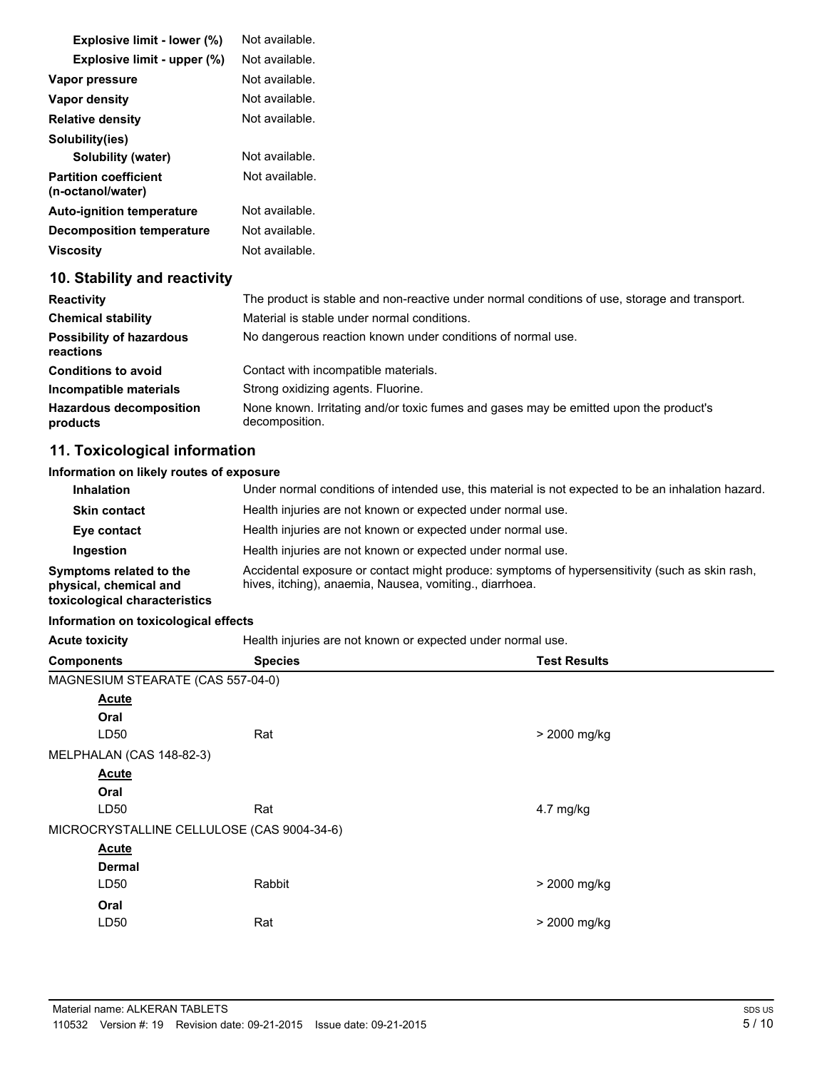| Explosive limit - lower (%)                       | Not available.                                                                                          |
|---------------------------------------------------|---------------------------------------------------------------------------------------------------------|
| Explosive limit - upper (%)                       | Not available.                                                                                          |
| Vapor pressure                                    | Not available.                                                                                          |
| Vapor density                                     | Not available.                                                                                          |
| <b>Relative density</b>                           | Not available.                                                                                          |
| Solubility(ies)                                   |                                                                                                         |
| Solubility (water)                                | Not available.                                                                                          |
| <b>Partition coefficient</b><br>(n-octanol/water) | Not available.                                                                                          |
| <b>Auto-ignition temperature</b>                  | Not available.                                                                                          |
| <b>Decomposition temperature</b>                  | Not available.                                                                                          |
| <b>Viscosity</b>                                  | Not available.                                                                                          |
| 10. Stability and reactivity                      |                                                                                                         |
| <b>Reactivity</b>                                 | The product is stable and non-reactive under normal conditions of use, storage and transport.           |
| <b>Chemical stability</b>                         | Material is stable under normal conditions.                                                             |
| <b>Possibility of hazardous</b><br>reactions      | No dangerous reaction known under conditions of normal use.                                             |
| <b>Conditions to avoid</b>                        | Contact with incompatible materials.                                                                    |
| Incompatible materials                            | Strong oxidizing agents. Fluorine.                                                                      |
| <b>Hazardous decomposition</b><br>products        | None known. Irritating and/or toxic fumes and gases may be emitted upon the product's<br>decomposition. |

# **11. Toxicological information**

#### **Information on likely routes of exposure**

| <b>Inhalation</b>                                                                  | Under normal conditions of intended use, this material is not expected to be an inhalation hazard.                                                        |
|------------------------------------------------------------------------------------|-----------------------------------------------------------------------------------------------------------------------------------------------------------|
| <b>Skin contact</b>                                                                | Health injuries are not known or expected under normal use.                                                                                               |
| Eye contact                                                                        | Health injuries are not known or expected under normal use.                                                                                               |
| Ingestion                                                                          | Health injuries are not known or expected under normal use.                                                                                               |
| Symptoms related to the<br>physical, chemical and<br>toxicological characteristics | Accidental exposure or contact might produce: symptoms of hypersensitivity (such as skin rash,<br>hives, itching), anaemia, Nausea, vomiting., diarrhoea. |

#### **Information on toxicological effects**

Acute toxicity **Acute toxicity** Health injuries are not known or expected under normal use.

| <b>Components</b>                          |                                   | <b>Species</b> | <b>Test Results</b> |
|--------------------------------------------|-----------------------------------|----------------|---------------------|
|                                            | MAGNESIUM STEARATE (CAS 557-04-0) |                |                     |
|                                            | <b>Acute</b>                      |                |                     |
|                                            | Oral                              |                |                     |
|                                            | LD <sub>50</sub>                  | Rat            | > 2000 mg/kg        |
|                                            | MELPHALAN (CAS 148-82-3)          |                |                     |
|                                            | <b>Acute</b>                      |                |                     |
|                                            | Oral                              |                |                     |
|                                            | LD50                              | Rat            | 4.7 mg/kg           |
| MICROCRYSTALLINE CELLULOSE (CAS 9004-34-6) |                                   |                |                     |
|                                            | <b>Acute</b>                      |                |                     |
|                                            | <b>Dermal</b>                     |                |                     |
|                                            | LD50                              | Rabbit         | > 2000 mg/kg        |
|                                            | Oral                              |                |                     |
|                                            | LD <sub>50</sub>                  | Rat            | > 2000 mg/kg        |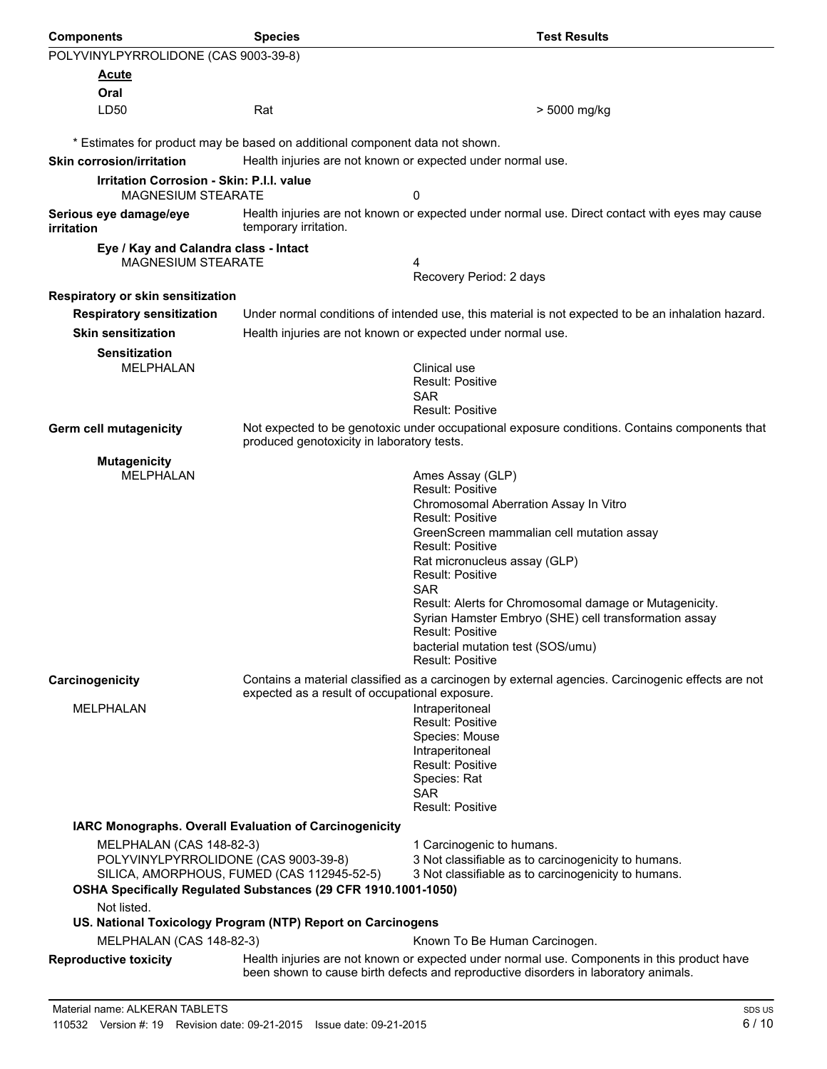| <b>Components</b>                                                                                                                                                                                                                                                                                                                                                                                                                                                                                                                | <b>Species</b>                                                               | <b>Test Results</b>                                                                                                                                                                                                                                                                                                                                                                                                                                       |  |  |
|----------------------------------------------------------------------------------------------------------------------------------------------------------------------------------------------------------------------------------------------------------------------------------------------------------------------------------------------------------------------------------------------------------------------------------------------------------------------------------------------------------------------------------|------------------------------------------------------------------------------|-----------------------------------------------------------------------------------------------------------------------------------------------------------------------------------------------------------------------------------------------------------------------------------------------------------------------------------------------------------------------------------------------------------------------------------------------------------|--|--|
| POLYVINYLPYRROLIDONE (CAS 9003-39-8)                                                                                                                                                                                                                                                                                                                                                                                                                                                                                             |                                                                              |                                                                                                                                                                                                                                                                                                                                                                                                                                                           |  |  |
| Acute                                                                                                                                                                                                                                                                                                                                                                                                                                                                                                                            |                                                                              |                                                                                                                                                                                                                                                                                                                                                                                                                                                           |  |  |
| Oral                                                                                                                                                                                                                                                                                                                                                                                                                                                                                                                             |                                                                              |                                                                                                                                                                                                                                                                                                                                                                                                                                                           |  |  |
| LD50                                                                                                                                                                                                                                                                                                                                                                                                                                                                                                                             | Rat                                                                          | > 5000 mg/kg                                                                                                                                                                                                                                                                                                                                                                                                                                              |  |  |
|                                                                                                                                                                                                                                                                                                                                                                                                                                                                                                                                  | * Estimates for product may be based on additional component data not shown. |                                                                                                                                                                                                                                                                                                                                                                                                                                                           |  |  |
| <b>Skin corrosion/irritation</b>                                                                                                                                                                                                                                                                                                                                                                                                                                                                                                 | Health injuries are not known or expected under normal use.                  |                                                                                                                                                                                                                                                                                                                                                                                                                                                           |  |  |
| <b>Irritation Corrosion - Skin: P.I.I. value</b><br><b>MAGNESIUM STEARATE</b>                                                                                                                                                                                                                                                                                                                                                                                                                                                    |                                                                              | 0                                                                                                                                                                                                                                                                                                                                                                                                                                                         |  |  |
| Serious eye damage/eye<br>irritation                                                                                                                                                                                                                                                                                                                                                                                                                                                                                             | temporary irritation.                                                        | Health injuries are not known or expected under normal use. Direct contact with eyes may cause                                                                                                                                                                                                                                                                                                                                                            |  |  |
| Eye / Kay and Calandra class - Intact<br>MAGNESIUM STEARATE                                                                                                                                                                                                                                                                                                                                                                                                                                                                      |                                                                              | 4<br>Recovery Period: 2 days                                                                                                                                                                                                                                                                                                                                                                                                                              |  |  |
| Respiratory or skin sensitization                                                                                                                                                                                                                                                                                                                                                                                                                                                                                                |                                                                              |                                                                                                                                                                                                                                                                                                                                                                                                                                                           |  |  |
| <b>Respiratory sensitization</b>                                                                                                                                                                                                                                                                                                                                                                                                                                                                                                 |                                                                              | Under normal conditions of intended use, this material is not expected to be an inhalation hazard.                                                                                                                                                                                                                                                                                                                                                        |  |  |
| <b>Skin sensitization</b>                                                                                                                                                                                                                                                                                                                                                                                                                                                                                                        | Health injuries are not known or expected under normal use.                  |                                                                                                                                                                                                                                                                                                                                                                                                                                                           |  |  |
| <b>Sensitization</b><br><b>MELPHALAN</b>                                                                                                                                                                                                                                                                                                                                                                                                                                                                                         |                                                                              | Clinical use<br><b>Result: Positive</b><br><b>SAR</b><br><b>Result: Positive</b>                                                                                                                                                                                                                                                                                                                                                                          |  |  |
| Germ cell mutagenicity                                                                                                                                                                                                                                                                                                                                                                                                                                                                                                           | produced genotoxicity in laboratory tests.                                   | Not expected to be genotoxic under occupational exposure conditions. Contains components that                                                                                                                                                                                                                                                                                                                                                             |  |  |
| <b>Mutagenicity</b><br><b>MELPHALAN</b>                                                                                                                                                                                                                                                                                                                                                                                                                                                                                          |                                                                              | Ames Assay (GLP)<br><b>Result: Positive</b><br>Chromosomal Aberration Assay In Vitro<br><b>Result: Positive</b><br>GreenScreen mammalian cell mutation assay<br>Result: Positive<br>Rat micronucleus assay (GLP)<br><b>Result: Positive</b><br><b>SAR</b><br>Result: Alerts for Chromosomal damage or Mutagenicity.<br>Syrian Hamster Embryo (SHE) cell transformation assay<br>Result: Positive<br>bacterial mutation test (SOS/umu)<br>Result: Positive |  |  |
| Carcinogenicity<br>MELPHALAN                                                                                                                                                                                                                                                                                                                                                                                                                                                                                                     | expected as a result of occupational exposure.                               | Contains a material classified as a carcinogen by external agencies. Carcinogenic effects are not<br>Intraperitoneal<br>Result: Positive<br>Species: Mouse<br>Intraperitoneal<br><b>Result: Positive</b><br>Species: Rat<br>SAR<br>Result: Positive                                                                                                                                                                                                       |  |  |
| IARC Monographs. Overall Evaluation of Carcinogenicity<br>MELPHALAN (CAS 148-82-3)<br>1 Carcinogenic to humans.<br>POLYVINYLPYRROLIDONE (CAS 9003-39-8)<br>3 Not classifiable as to carcinogenicity to humans.<br>SILICA, AMORPHOUS, FUMED (CAS 112945-52-5)<br>3 Not classifiable as to carcinogenicity to humans.<br>OSHA Specifically Regulated Substances (29 CFR 1910.1001-1050)<br>Not listed.<br>US. National Toxicology Program (NTP) Report on Carcinogens<br>MELPHALAN (CAS 148-82-3)<br>Known To Be Human Carcinogen. |                                                                              | Health injuries are not known or expected under normal use. Components in this product have                                                                                                                                                                                                                                                                                                                                                               |  |  |
| <b>Reproductive toxicity</b>                                                                                                                                                                                                                                                                                                                                                                                                                                                                                                     |                                                                              | been shown to cause birth defects and reproductive disorders in laboratory animals.                                                                                                                                                                                                                                                                                                                                                                       |  |  |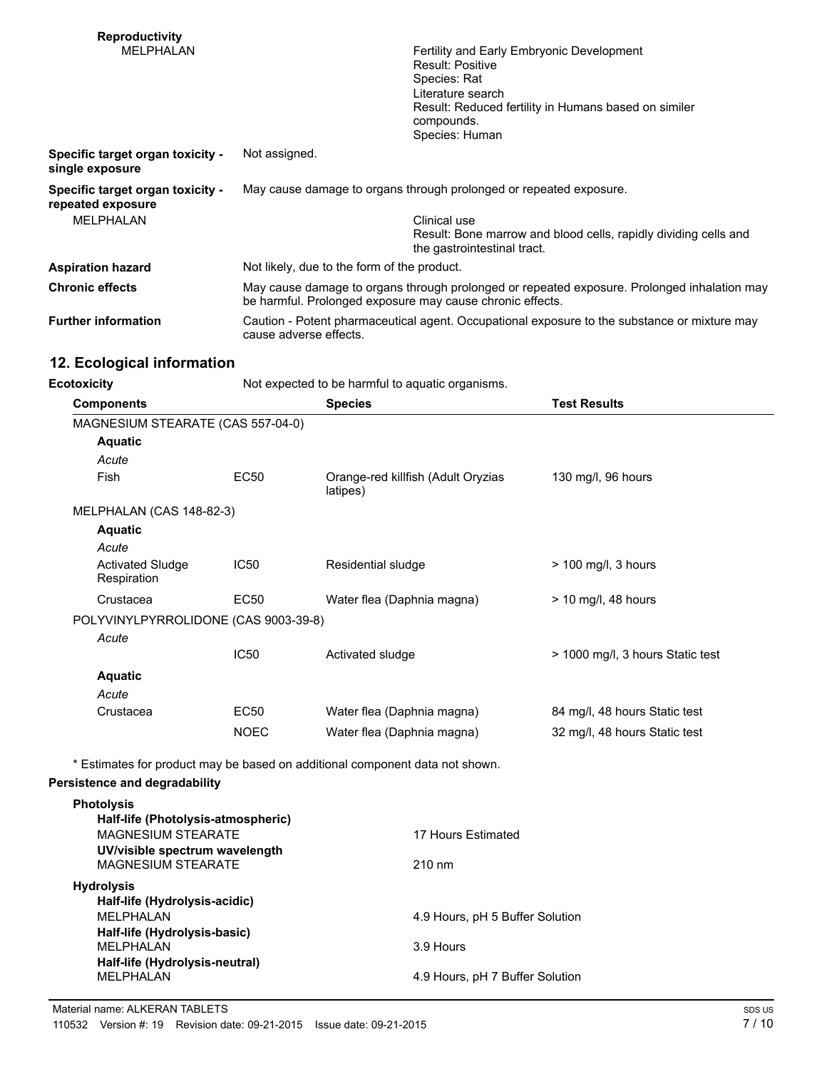| <b>Reproductivity</b><br>MELPHALAN                                          | Fertility and Early Embryonic Development<br>Result: Positive<br>Species: Rat<br>Literature search<br>Result: Reduced fertility in Humans based on similer<br>compounds.<br>Species: Human |  |
|-----------------------------------------------------------------------------|--------------------------------------------------------------------------------------------------------------------------------------------------------------------------------------------|--|
| Specific target organ toxicity -<br>single exposure                         | Not assigned.                                                                                                                                                                              |  |
| Specific target organ toxicity -<br>repeated exposure<br><b>MFI PHAI AN</b> | May cause damage to organs through prolonged or repeated exposure.<br>Clinical use<br>Result: Bone marrow and blood cells, rapidly dividing cells and<br>the gastrointestinal tract.       |  |
| <b>Aspiration hazard</b>                                                    | Not likely, due to the form of the product.                                                                                                                                                |  |
| <b>Chronic effects</b>                                                      | May cause damage to organs through prolonged or repeated exposure. Prolonged inhalation may<br>be harmful. Prolonged exposure may cause chronic effects.                                   |  |
| <b>Further information</b>                                                  | Caution - Potent pharmaceutical agent. Occupational exposure to the substance or mixture may<br>cause adverse effects.                                                                     |  |

# **12. Ecological information**

| <b>Ecotoxicity</b> | Not expected to be harmful to aquatic organisms. |
|--------------------|--------------------------------------------------|
|                    |                                                  |

| <b>Components</b>                                           |                  | <b>Species</b>                                                               | <b>Test Results</b>              |
|-------------------------------------------------------------|------------------|------------------------------------------------------------------------------|----------------------------------|
| MAGNESIUM STEARATE (CAS 557-04-0)                           |                  |                                                                              |                                  |
| <b>Aquatic</b>                                              |                  |                                                                              |                                  |
| Acute                                                       |                  |                                                                              |                                  |
| <b>Fish</b>                                                 | <b>EC50</b>      | Orange-red killfish (Adult Oryzias<br>latipes)                               | 130 mg/l, 96 hours               |
| MELPHALAN (CAS 148-82-3)                                    |                  |                                                                              |                                  |
| <b>Aquatic</b>                                              |                  |                                                                              |                                  |
| Acute                                                       |                  |                                                                              |                                  |
| <b>Activated Sludge</b><br>Respiration                      | <b>IC50</b>      | Residential sludge                                                           | > 100 mg/l, 3 hours              |
| Crustacea                                                   | EC <sub>50</sub> | Water flea (Daphnia magna)                                                   | $> 10$ mg/l, 48 hours            |
| POLYVINYLPYRROLIDONE (CAS 9003-39-8)                        |                  |                                                                              |                                  |
| Acute                                                       |                  |                                                                              |                                  |
|                                                             | <b>IC50</b>      | Activated sludge                                                             | > 1000 mg/l, 3 hours Static test |
| <b>Aquatic</b>                                              |                  |                                                                              |                                  |
| Acute                                                       |                  |                                                                              |                                  |
| Crustacea                                                   | EC <sub>50</sub> | Water flea (Daphnia magna)                                                   | 84 mg/l, 48 hours Static test    |
|                                                             | <b>NOEC</b>      | Water flea (Daphnia magna)                                                   | 32 mg/l, 48 hours Static test    |
|                                                             |                  | * Estimates for product may be based on additional component data not shown. |                                  |
| <b>Persistence and degradability</b>                        |                  |                                                                              |                                  |
| <b>Photolysis</b><br>Half-life (Photolysis-atmospheric)     |                  |                                                                              |                                  |
| <b>MAGNESIUM STEARATE</b><br>UV/visible spectrum wavelength |                  | 17 Hours Estimated                                                           |                                  |
| <b>MAGNESIUM STEARATE</b>                                   |                  | 210 nm                                                                       |                                  |
| <b>Hydrolysis</b><br>Half-life (Hydrolysis-acidic)          |                  |                                                                              |                                  |

| <b>Photolysis</b>                  |                                 |
|------------------------------------|---------------------------------|
| Half-life (Photolysis-atmospheric) |                                 |
| <b>MAGNESIUM STEARATE</b>          | 17 Hours Estimated              |
| UV/visible spectrum wavelength     |                                 |
| <b>MAGNESIUM STEARATE</b>          | $210 \text{ nm}$                |
| <b>Hydrolysis</b>                  |                                 |
| Half-life (Hydrolysis-acidic)      |                                 |
| MFI PHAI AN                        | 4.9 Hours, pH 5 Buffer Solution |
| Half-life (Hydrolysis-basic)       |                                 |
| MFI PHAI AN                        | 3.9 Hours                       |
| Half-life (Hydrolysis-neutral)     |                                 |
| <b>MFI PHAI AN</b>                 | 4.9 Hours, pH 7 Buffer Solution |
|                                    |                                 |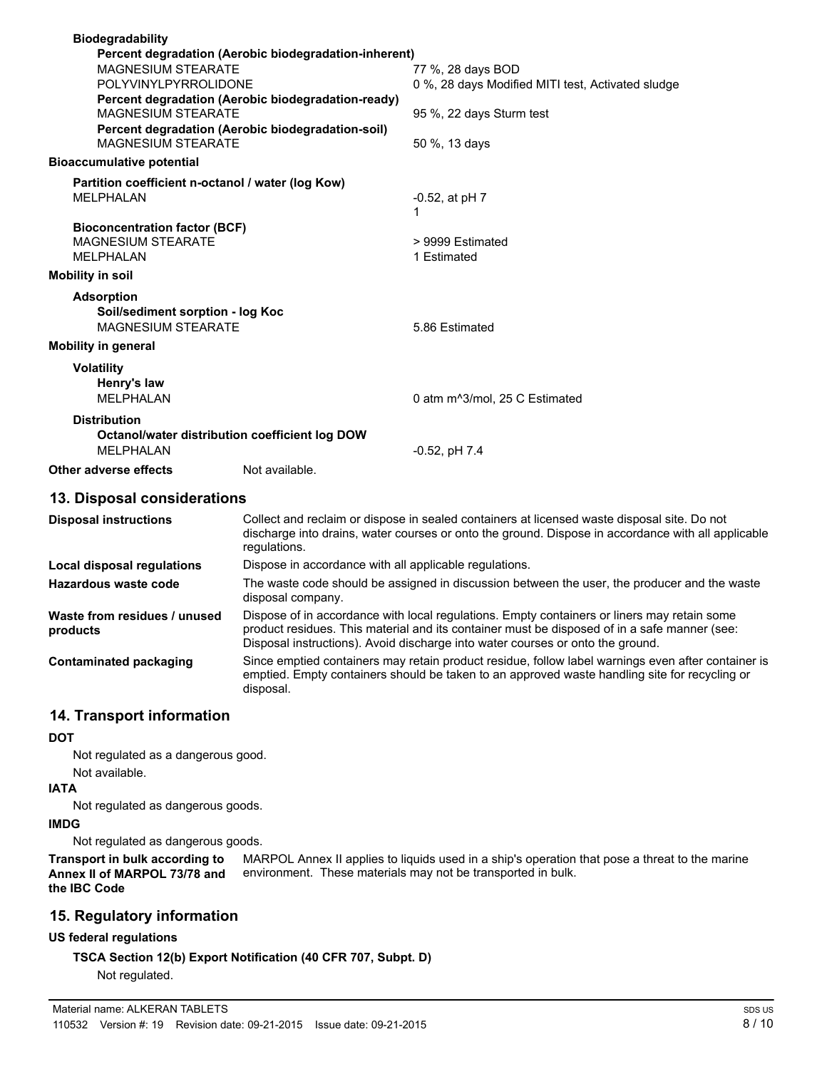| <b>Biodegradability</b><br>Percent degradation (Aerobic biodegradation-inherent)          |                                                                        |
|-------------------------------------------------------------------------------------------|------------------------------------------------------------------------|
| <b>MAGNESIUM STEARATE</b><br>POLYVINYLPYRROLIDONE                                         | 77 %, 28 days BOD<br>0 %, 28 days Modified MITI test, Activated sludge |
| Percent degradation (Aerobic biodegradation-ready)<br><b>MAGNESIUM STEARATE</b>           | 95 %, 22 days Sturm test                                               |
| Percent degradation (Aerobic biodegradation-soil)<br><b>MAGNESIUM STEARATE</b>            | 50 %, 13 days                                                          |
| <b>Bioaccumulative potential</b>                                                          |                                                                        |
| Partition coefficient n-octanol / water (log Kow)<br><b>MELPHALAN</b>                     | $-0.52$ , at pH $7$<br>1                                               |
| <b>Bioconcentration factor (BCF)</b><br><b>MAGNESIUM STEARATE</b><br><b>MELPHALAN</b>     | > 9999 Estimated<br>1 Estimated                                        |
| <b>Mobility in soil</b>                                                                   |                                                                        |
| <b>Adsorption</b><br>Soil/sediment sorption - log Koc<br><b>MAGNESIUM STEARATE</b>        | 5.86 Estimated                                                         |
| <b>Mobility in general</b>                                                                |                                                                        |
| <b>Volatility</b><br>Henry's law<br><b>MFI PHAI AN</b>                                    | 0 atm m <sup>3</sup> /mol. 25 C Estimated                              |
| <b>Distribution</b><br>Octanol/water distribution coefficient log DOW<br><b>MELPHALAN</b> | $-0.52$ , pH $7.4$                                                     |
| Not available.<br>Other adverse effects                                                   |                                                                        |
|                                                                                           |                                                                        |

#### **13. Disposal considerations**

| <b>Disposal instructions</b>             | Collect and reclaim or dispose in sealed containers at licensed waste disposal site. Do not<br>discharge into drains, water courses or onto the ground. Dispose in accordance with all applicable<br>regulations.                                                             |
|------------------------------------------|-------------------------------------------------------------------------------------------------------------------------------------------------------------------------------------------------------------------------------------------------------------------------------|
| Local disposal regulations               | Dispose in accordance with all applicable regulations.                                                                                                                                                                                                                        |
| Hazardous waste code                     | The waste code should be assigned in discussion between the user, the producer and the waste<br>disposal company.                                                                                                                                                             |
| Waste from residues / unused<br>products | Dispose of in accordance with local regulations. Empty containers or liners may retain some<br>product residues. This material and its container must be disposed of in a safe manner (see:<br>Disposal instructions). Avoid discharge into water courses or onto the ground. |
| <b>Contaminated packaging</b>            | Since emptied containers may retain product residue, follow label warnings even after container is<br>emptied. Empty containers should be taken to an approved waste handling site for recycling or<br>disposal.                                                              |

# **14. Transport information**

#### **DOT**

Not regulated as a dangerous good.

#### Not available.

# **IATA**

Not regulated as dangerous goods.

#### **IMDG**

Not regulated as dangerous goods.

MARPOL Annex II applies to liquids used in a ship's operation that pose a threat to the marine environment. These materials may not be transported in bulk. **Transport in bulk according to Annex II of MARPOL 73/78 and the IBC Code**

#### **15. Regulatory information**

#### **US federal regulations**

**TSCA Section 12(b) Export Notification (40 CFR 707, Subpt. D)**

Not regulated.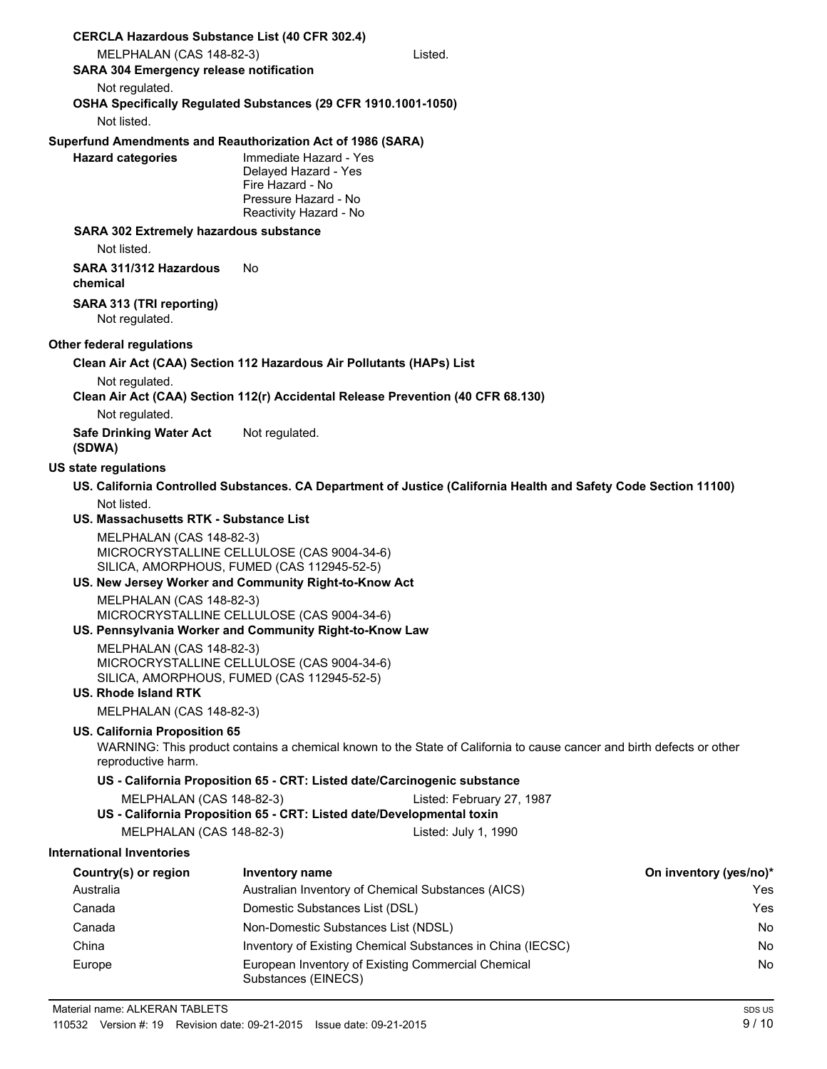| <b>CERCLA Hazardous Substance List (40 CFR 302.4)</b>                                              |                                                                                                                      |                                                                                                                       |                        |
|----------------------------------------------------------------------------------------------------|----------------------------------------------------------------------------------------------------------------------|-----------------------------------------------------------------------------------------------------------------------|------------------------|
| MELPHALAN (CAS 148-82-3)                                                                           |                                                                                                                      | Listed.                                                                                                               |                        |
| <b>SARA 304 Emergency release notification</b>                                                     |                                                                                                                      |                                                                                                                       |                        |
| Not regulated.<br>OSHA Specifically Regulated Substances (29 CFR 1910.1001-1050)<br>Not listed.    |                                                                                                                      |                                                                                                                       |                        |
| Superfund Amendments and Reauthorization Act of 1986 (SARA)<br><b>Hazard categories</b>            | Immediate Hazard - Yes<br>Delayed Hazard - Yes<br>Fire Hazard - No<br>Pressure Hazard - No<br>Reactivity Hazard - No |                                                                                                                       |                        |
| <b>SARA 302 Extremely hazardous substance</b>                                                      |                                                                                                                      |                                                                                                                       |                        |
| Not listed.                                                                                        |                                                                                                                      |                                                                                                                       |                        |
| SARA 311/312 Hazardous<br>chemical                                                                 | No.                                                                                                                  |                                                                                                                       |                        |
| SARA 313 (TRI reporting)<br>Not regulated.                                                         |                                                                                                                      |                                                                                                                       |                        |
| Other federal regulations                                                                          |                                                                                                                      |                                                                                                                       |                        |
| Clean Air Act (CAA) Section 112 Hazardous Air Pollutants (HAPs) List                               |                                                                                                                      |                                                                                                                       |                        |
| Not regulated.<br>Clean Air Act (CAA) Section 112(r) Accidental Release Prevention (40 CFR 68.130) |                                                                                                                      |                                                                                                                       |                        |
| Not regulated.                                                                                     |                                                                                                                      |                                                                                                                       |                        |
| <b>Safe Drinking Water Act</b><br>(SDWA)                                                           | Not regulated.                                                                                                       |                                                                                                                       |                        |
| <b>US state regulations</b>                                                                        |                                                                                                                      |                                                                                                                       |                        |
|                                                                                                    |                                                                                                                      | US. California Controlled Substances. CA Department of Justice (California Health and Safety Code Section 11100)      |                        |
| Not listed.                                                                                        |                                                                                                                      |                                                                                                                       |                        |
| <b>US. Massachusetts RTK - Substance List</b>                                                      |                                                                                                                      |                                                                                                                       |                        |
| MELPHALAN (CAS 148-82-3)                                                                           | MICROCRYSTALLINE CELLULOSE (CAS 9004-34-6)<br>SILICA, AMORPHOUS, FUMED (CAS 112945-52-5)                             |                                                                                                                       |                        |
| US. New Jersey Worker and Community Right-to-Know Act                                              |                                                                                                                      |                                                                                                                       |                        |
| MELPHALAN (CAS 148-82-3)<br>US. Pennsylvania Worker and Community Right-to-Know Law                | MICROCRYSTALLINE CELLULOSE (CAS 9004-34-6)                                                                           |                                                                                                                       |                        |
| MELPHALAN (CAS 148-82-3)<br>US. Rhode Island RTK                                                   | MICROCRYSTALLINE CELLULOSE (CAS 9004-34-6)<br>SILICA, AMORPHOUS, FUMED (CAS 112945-52-5)                             |                                                                                                                       |                        |
| MELPHALAN (CAS 148-82-3)                                                                           |                                                                                                                      |                                                                                                                       |                        |
| US. California Proposition 65<br>reproductive harm.                                                |                                                                                                                      | WARNING: This product contains a chemical known to the State of California to cause cancer and birth defects or other |                        |
|                                                                                                    | US - California Proposition 65 - CRT: Listed date/Carcinogenic substance                                             |                                                                                                                       |                        |
| MELPHALAN (CAS 148-82-3)                                                                           | US - California Proposition 65 - CRT: Listed date/Developmental toxin                                                | Listed: February 27, 1987                                                                                             |                        |
| MELPHALAN (CAS 148-82-3)                                                                           |                                                                                                                      | Listed: July 1, 1990                                                                                                  |                        |
| <b>International Inventories</b>                                                                   |                                                                                                                      |                                                                                                                       |                        |
| Country(s) or region                                                                               | Inventory name                                                                                                       |                                                                                                                       | On inventory (yes/no)* |
| Australia                                                                                          | Australian Inventory of Chemical Substances (AICS)                                                                   |                                                                                                                       | Yes                    |
| Canada                                                                                             | Domestic Substances List (DSL)                                                                                       |                                                                                                                       | Yes                    |
| Canada                                                                                             | Non-Domestic Substances List (NDSL)                                                                                  |                                                                                                                       | No.                    |
| China                                                                                              |                                                                                                                      | Inventory of Existing Chemical Substances in China (IECSC)                                                            | No.                    |
| Europe                                                                                             | European Inventory of Existing Commercial Chemical<br>Substances (EINECS)                                            |                                                                                                                       | No                     |